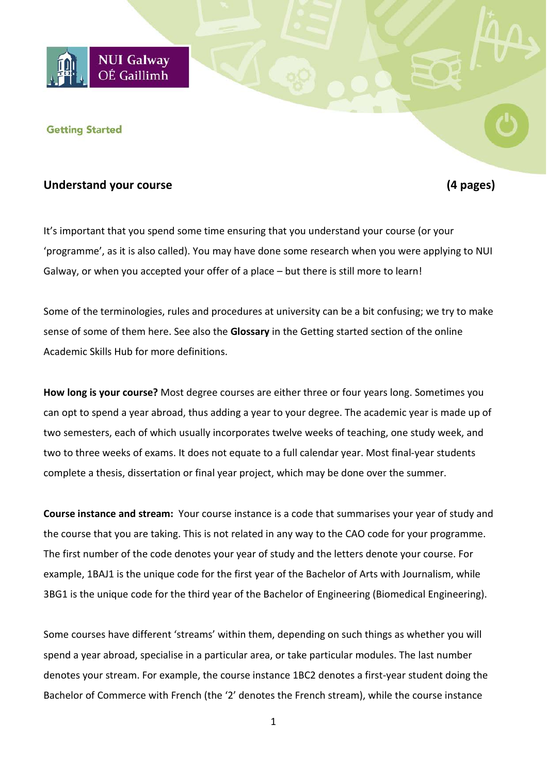

#### **Getting Started**

## **Understand your course (4 pages)**

It's important that you spend some time ensuring that you understand your course (or your 'programme', as it is also called). You may have done some research when you were applying to NUI Galway, or when you accepted your offer of a place – but there is still more to learn!

Some of the terminologies, rules and procedures at university can be a bit confusing; we try to make sense of some of them here. See also the **Glossary** in the Getting started section of the online Academic Skills Hub for more definitions.

**How long is your course?** Most degree courses are either three or four years long. Sometimes you can opt to spend a year abroad, thus adding a year to your degree. The academic year is made up of two semesters, each of which usually incorporates twelve weeks of teaching, one study week, and two to three weeks of exams. It does not equate to a full calendar year. Most final-year students complete a thesis, dissertation or final year project, which may be done over the summer.

**Course instance and stream:** Your course instance is a code that summarises your year of study and the course that you are taking. This is not related in any way to the CAO code for your programme. The first number of the code denotes your year of study and the letters denote your course. For example, 1BAJ1 is the unique code for the first year of the Bachelor of Arts with Journalism, while 3BG1 is the unique code for the third year of the Bachelor of Engineering (Biomedical Engineering).

Some courses have different 'streams' within them, depending on such things as whether you will spend a year abroad, specialise in a particular area, or take particular modules. The last number denotes your stream. For example, the course instance 1BC2 denotes a first-year student doing the Bachelor of Commerce with French (the '2' denotes the French stream), while the course instance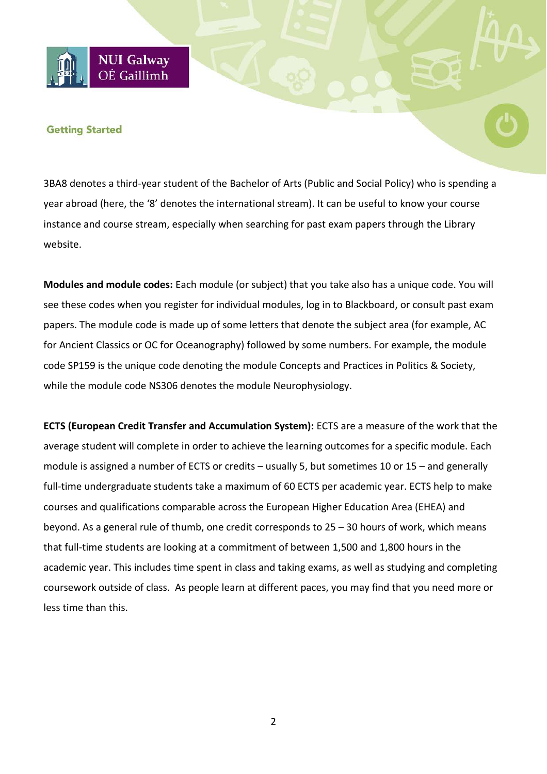# **NUI Galway** OÉ Gaillimh

## **Getting Started**

3BA8 denotes a third-year student of the Bachelor of Arts (Public and Social Policy) who is spending a year abroad (here, the '8' denotes the international stream). It can be useful to know your course instance and course stream, especially when searching for past exam papers through the Library website.

**Modules and module codes:** Each module (or subject) that you take also has a unique code. You will see these codes when you register for individual modules, log in to Blackboard, or consult past exam papers. The module code is made up of some letters that denote the subject area (for example, AC for Ancient Classics or OC for Oceanography) followed by some numbers. For example, the module code SP159 is the unique code denoting the module Concepts and Practices in Politics & Society, while the module code NS306 denotes the module Neurophysiology.

**ECTS (European Credit Transfer and Accumulation System):** ECTS are a measure of the work that the average student will complete in order to achieve the learning outcomes for a specific module. Each module is assigned a number of ECTS or credits – usually 5, but sometimes 10 or 15 – and generally full-time undergraduate students take a maximum of 60 ECTS per academic year. ECTS help to make courses and qualifications comparable across the European Higher Education Area (EHEA) and beyond. As a general rule of thumb, one credit corresponds to 25 – 30 hours of work, which means that full-time students are looking at a commitment of between 1,500 and 1,800 hours in the academic year. This includes time spent in class and taking exams, as well as studying and completing coursework outside of class. As people learn at different paces, you may find that you need more or less time than this.

2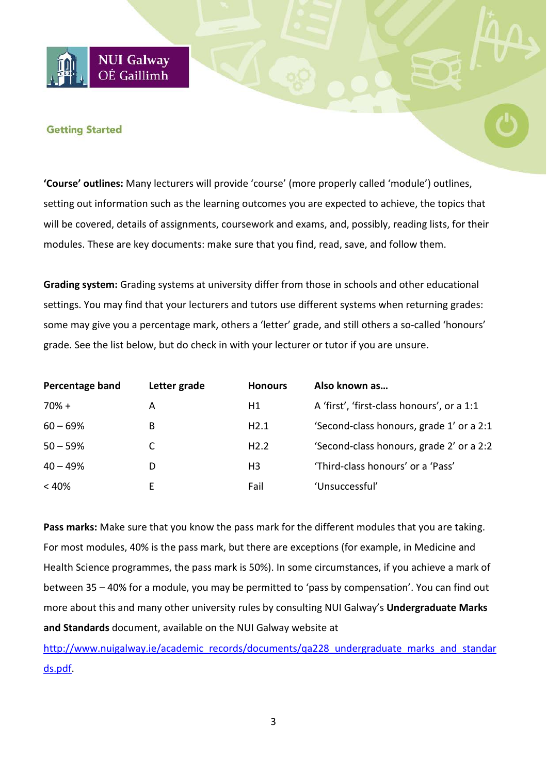## **Getting Started**

**NUI Galway** OÉ Gaillimh

**'Course' outlines:** Many lecturers will provide 'course' (more properly called 'module') outlines, setting out information such as the learning outcomes you are expected to achieve, the topics that will be covered, details of assignments, coursework and exams, and, possibly, reading lists, for their modules. These are key documents: make sure that you find, read, save, and follow them.

**Grading system:** Grading systems at university differ from those in schools and other educational settings. You may find that your lecturers and tutors use different systems when returning grades: some may give you a percentage mark, others a 'letter' grade, and still others a so-called 'honours' grade. See the list below, but do check in with your lecturer or tutor if you are unsure.

| Percentage band | Letter grade | <b>Honours</b> | Also known as                              |
|-----------------|--------------|----------------|--------------------------------------------|
| $70% +$         | А            | Η1             | A 'first', 'first-class honours', or a 1:1 |
| $60 - 69%$      | B            | H2.1           | 'Second-class honours, grade 1' or a 2:1   |
| $50 - 59%$      |              | H2.2           | 'Second-class honours, grade 2' or a 2:2   |
| $40 - 49%$      | D            | H3             | 'Third-class honours' or a 'Pass'          |
| $< 40\%$        | ь.           | Fail           | 'Unsuccessful'                             |

**Pass marks:** Make sure that you know the pass mark for the different modules that you are taking. For most modules, 40% is the pass mark, but there are exceptions (for example, in Medicine and Health Science programmes, the pass mark is 50%). In some circumstances, if you achieve a mark of between 35 – 40% for a module, you may be permitted to 'pass by compensation'. You can find out more about this and many other university rules by consulting NUI Galway's **Undergraduate Marks and Standards** document, available on the NUI Galway website at

[http://www.nuigalway.ie/academic\\_records/documents/qa228\\_undergraduate\\_marks\\_and\\_standar](http://www.nuigalway.ie/academic_records/documents/qa228_undergraduate_marks_and_standards.pdf) [ds.pdf.](http://www.nuigalway.ie/academic_records/documents/qa228_undergraduate_marks_and_standards.pdf)

3